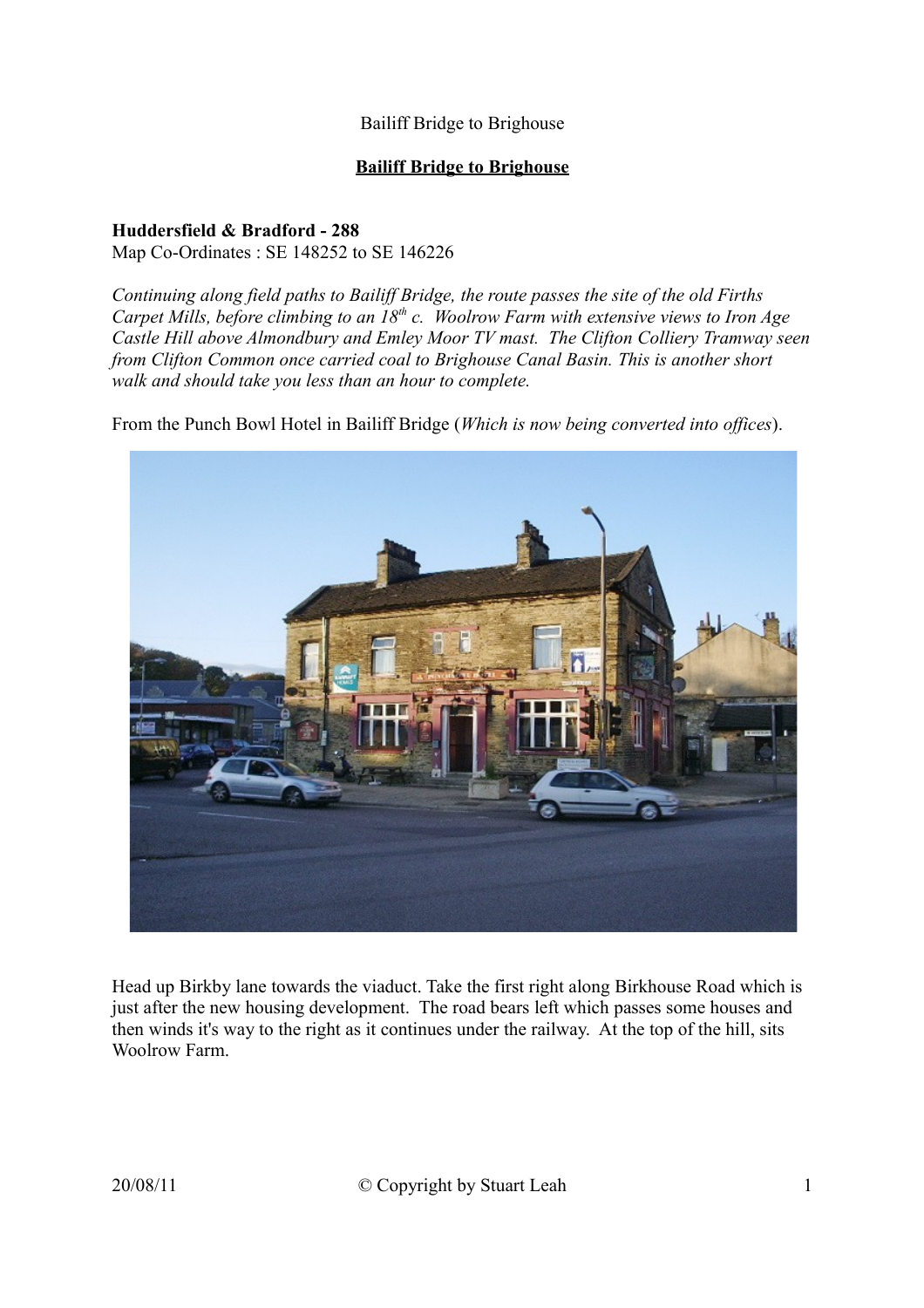#### **Bailiff Bridge to Brighouse**

#### **Huddersfield & Bradford - 288** Map Co-Ordinates : SE 148252 to SE 146226

*Continuing along field paths to Bailiff Bridge, the route passes the site of the old Firths Carpet Mills, before climbing to an 18th c. Woolrow Farm with extensive views to Iron Age Castle Hill above Almondbury and Emley Moor TV mast. The Clifton Colliery Tramway seen from Clifton Common once carried coal to Brighouse Canal Basin. This is another short walk and should take you less than an hour to complete.*

From the Punch Bowl Hotel in Bailiff Bridge (*Which is now being converted into offices*).



Head up Birkby lane towards the viaduct. Take the first right along Birkhouse Road which is just after the new housing development. The road bears left which passes some houses and then winds it's way to the right as it continues under the railway. At the top of the hill, sits Woolrow Farm.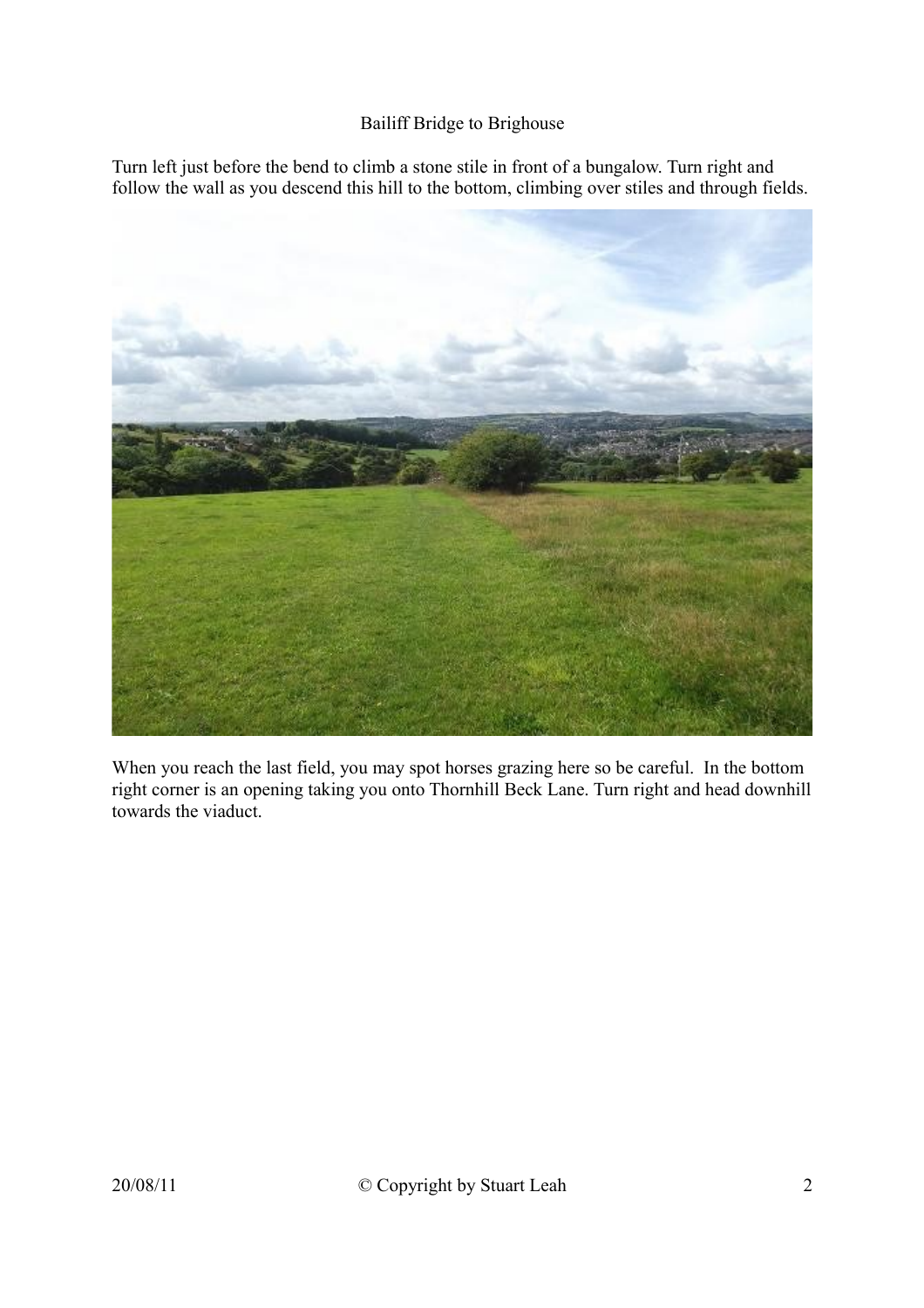Turn left just before the bend to climb a stone stile in front of a bungalow. Turn right and follow the wall as you descend this hill to the bottom, climbing over stiles and through fields.



When you reach the last field, you may spot horses grazing here so be careful. In the bottom right corner is an opening taking you onto Thornhill Beck Lane. Turn right and head downhill towards the viaduct.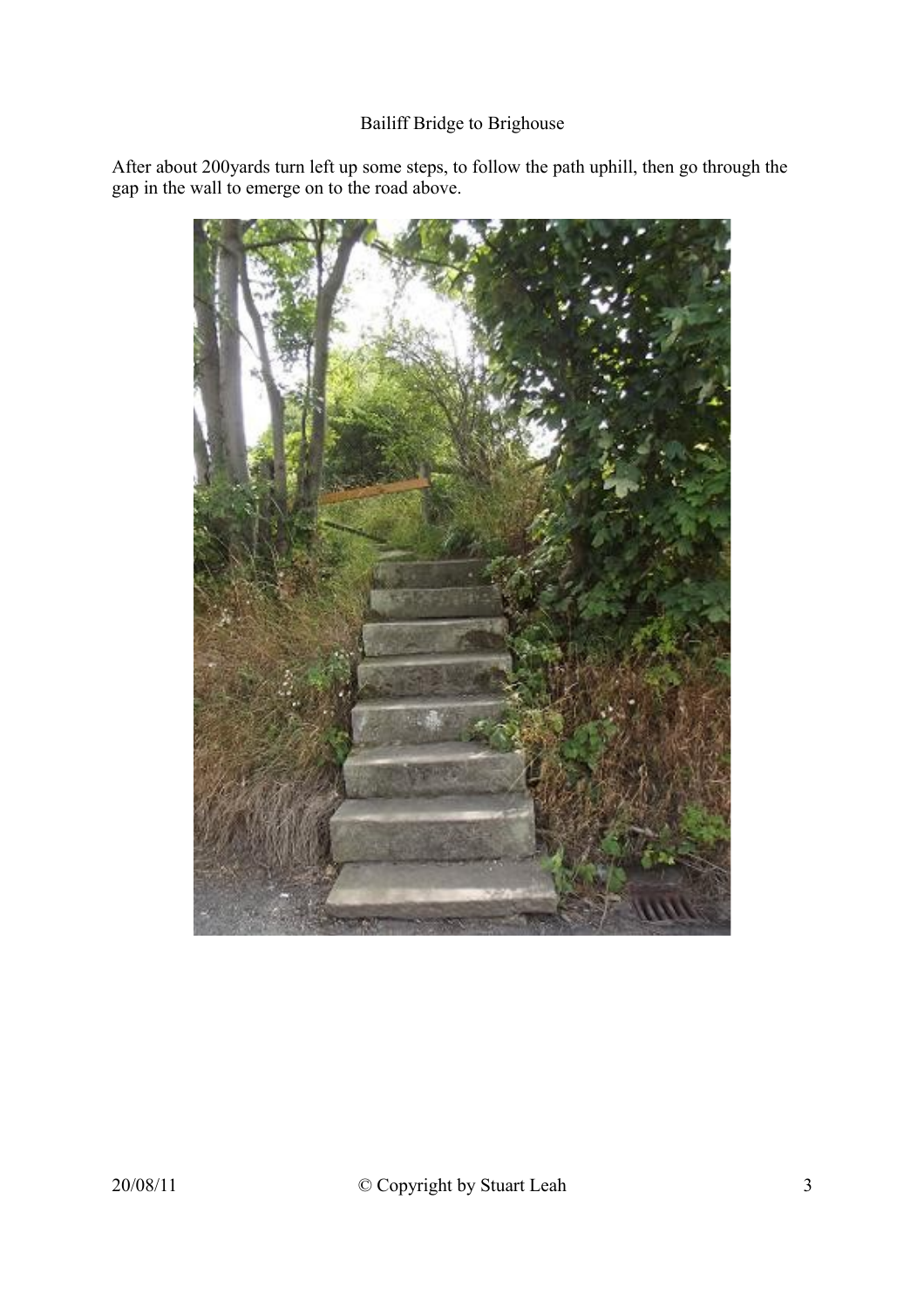After about 200yards turn left up some steps, to follow the path uphill, then go through the gap in the wall to emerge on to the road above.

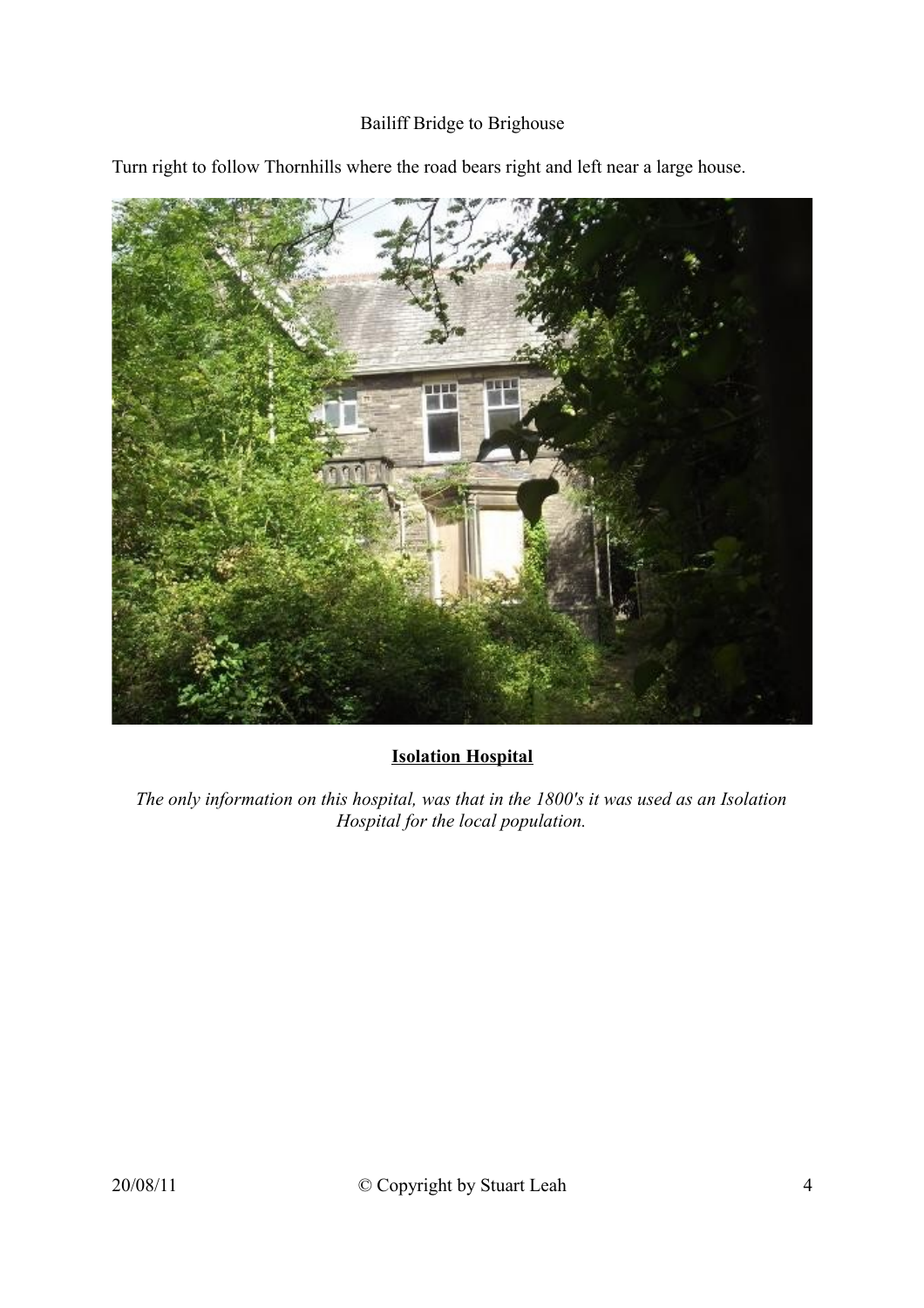

Turn right to follow Thornhills where the road bears right and left near a large house.

## **Isolation Hospital**

*The only information on this hospital, was that in the 1800's it was used as an Isolation Hospital for the local population.*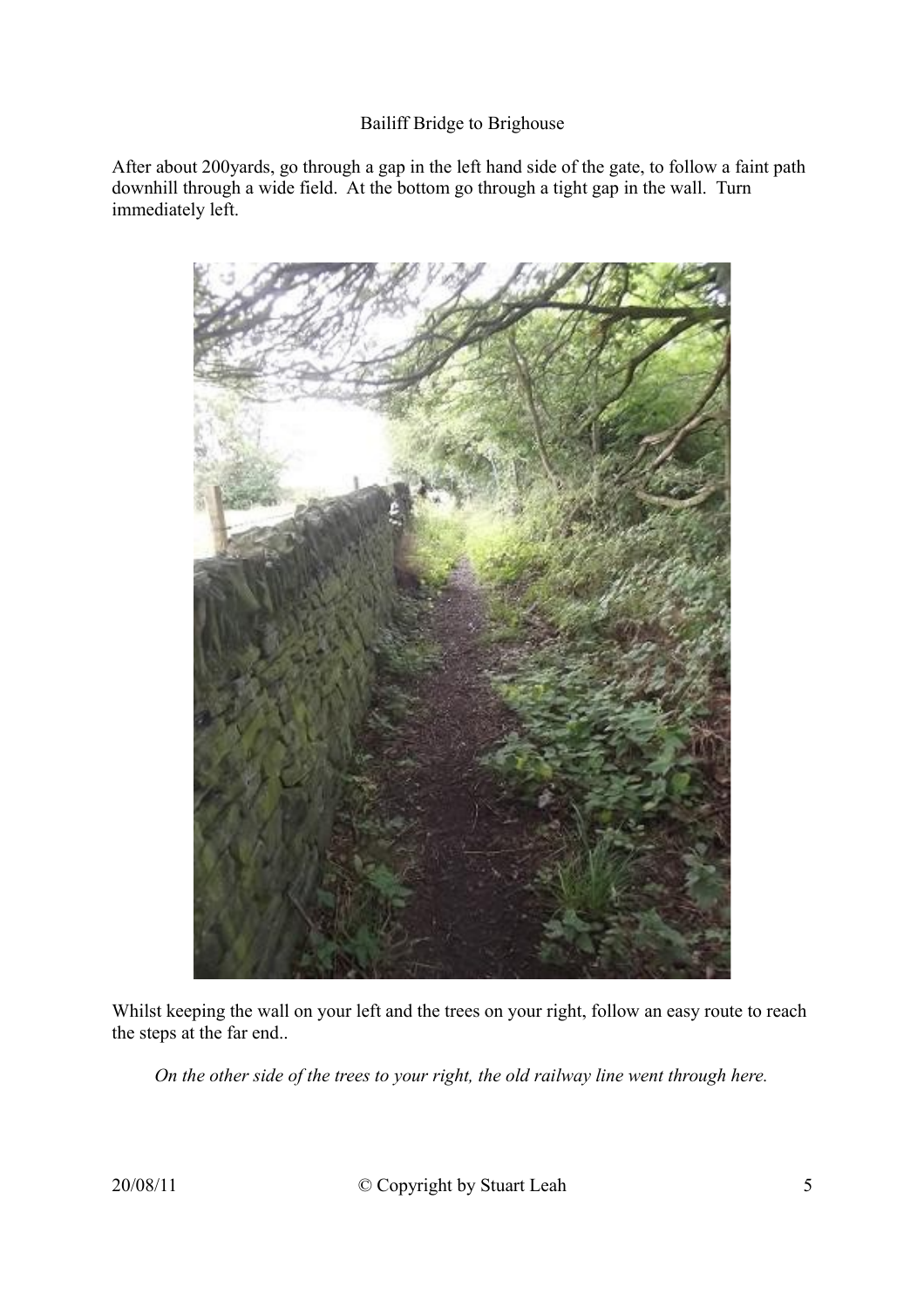After about 200yards, go through a gap in the left hand side of the gate, to follow a faint path downhill through a wide field. At the bottom go through a tight gap in the wall. Turn immediately left.



Whilst keeping the wall on your left and the trees on your right, follow an easy route to reach the steps at the far end..

*On the other side of the trees to your right, the old railway line went through here.*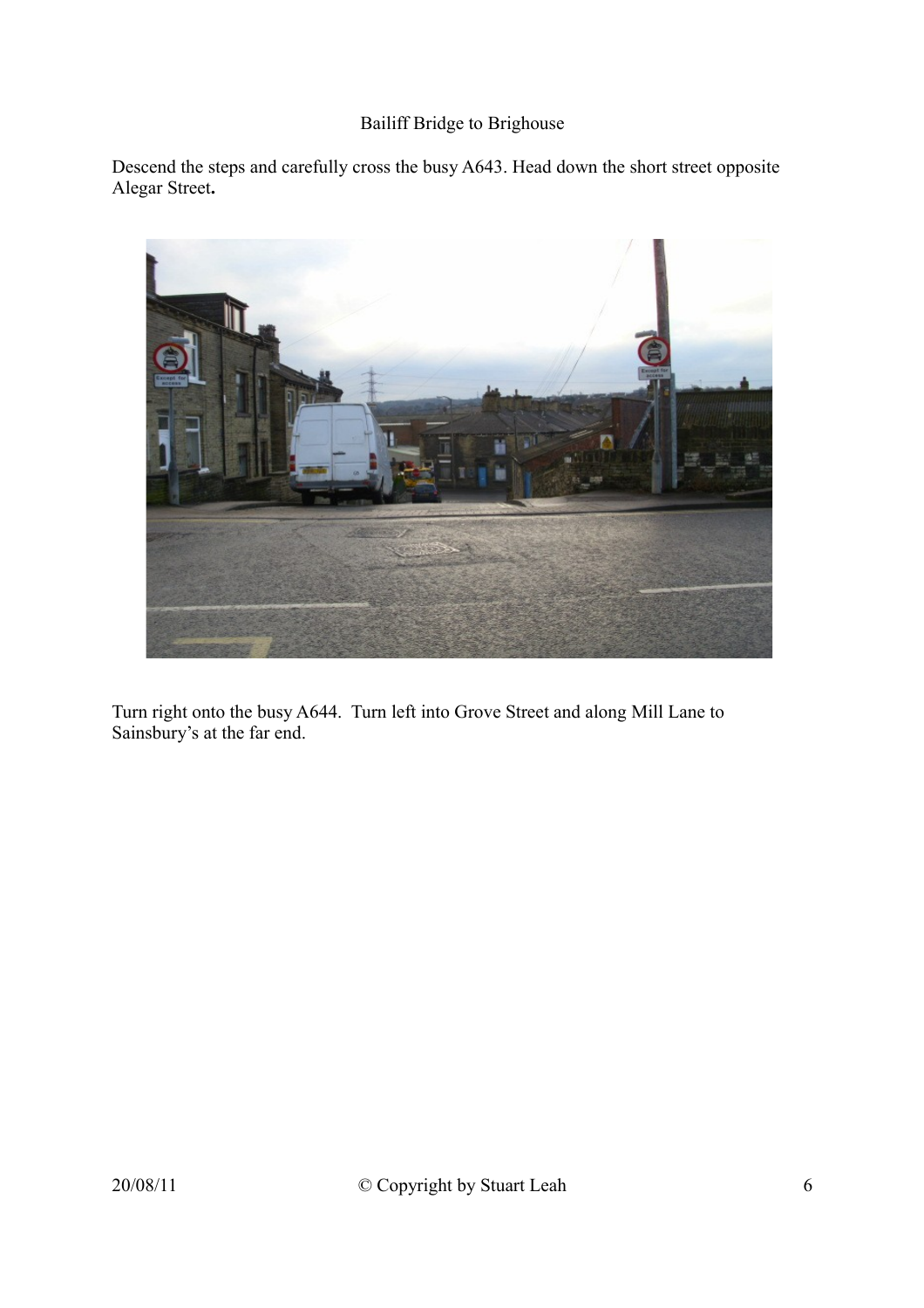Descend the steps and carefully cross the busy A643. Head down the short street opposite Alegar Street**.**



Turn right onto the busy A644. Turn left into Grove Street and along Mill Lane to Sainsbury's at the far end.